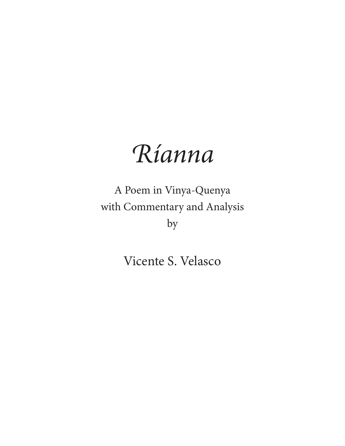# *Ríanna*

A Poem in Vinya-Quenya with Commentary and Analysis by

Vicente S. Velasco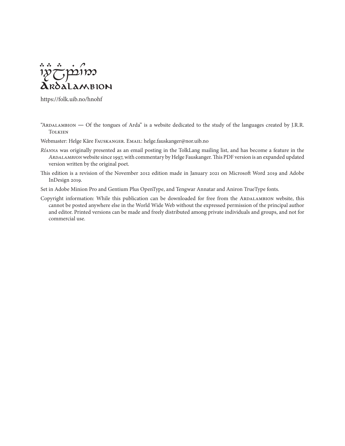

https://folk.uib.no/hnohf

"ARDALAMBION — Of the tongues of Arda" is a website dedicated to the study of the languages created by J.R.R. **TOLKIEN** 

Webmaster: Helge Kåre FAUSKANGER. EMAIL: helge.fauskanger@nor.uib.no

- *Ríanna* was originally presented as an email posting in the TolkLang mailing list, and has become a feature in the *Ardalambion* website since 1997, with commentary by Helge Fauskanger. This PDF version is an expanded updated version written by the original poet.
- This edition is a revision of the November 2012 edition made in January 2021 on Microsoft Word 2019 and Adobe InDesign 2019.

Set in Adobe Minion Pro and Gentium Plus OpenType, and Tengwar Annatar and Aniron TrueType fonts.

Copyright information: While this publication can be downloaded for free from the ARDALAMBION website, this cannot be posted anywhere else in the World Wide Web without the expressed permission of the principal author and editor. Printed versions can be made and freely distributed among private individuals and groups, and not for commercial use.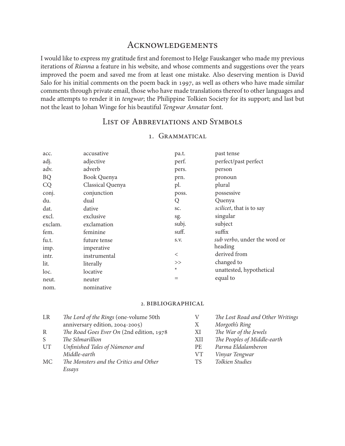## **ACKNOWLEDGEMENTS**

I would like to express my gratitude first and foremost to Helge Fauskanger who made my previous iterations of *Ríanna* a feature in his website, and whose comments and suggestions over the years improved the poem and saved me from at least one mistake. Also deserving mention is David Salo for his initial comments on the poem back in 1997, as well as others who have made similar comments through private email, those who have made translations thereof to other languages and made attempts to render it in *tengwar*; the Philippine Tolkien Society for its support; and last but not the least to Johan Winge for his beautiful *Tengwar Annatar* font.

# LIST OF ABBREVIATIONS AND SYMBOLS

| acc.      | accusative       | pa.t.   | past tense                   |
|-----------|------------------|---------|------------------------------|
| adj.      | adjective        | perf.   | perfect/past perfect         |
| adv.      | adverb           | pers.   | person                       |
| <b>BQ</b> | Book Quenya      | prn.    | pronoun                      |
| CQ        | Classical Quenya | pl.     | plural                       |
| conj.     | conjunction      | poss.   | possessive                   |
| du.       | dual             | Q       | Quenya                       |
| dat.      | dative           | SC.     | scilicet, that is to say     |
| excl.     | exclusive        | sg.     | singular                     |
| exclam.   | exclamation      | subj.   | subject                      |
| fem.      | feminine         | suff.   | suffix                       |
| fu.t.     | future tense     | S.V.    | sub verbo, under the word or |
| imp.      | imperative       |         | heading                      |
| intr.     | instrumental     | $\,<\,$ | derived from                 |
| lit.      | literally        | >>      | changed to                   |
| loc.      | locative         | $\ast$  | unattested, hypothetical     |
| neut.     | neuter           | $=$     | equal to                     |
| nom.      | nominative       |         |                              |

### 1. Grammatical

#### 2. Bibliographical

| LR           | The Lord of the Rings (one-volume 50th    |           | The Lost Road and Other Writings |
|--------------|-------------------------------------------|-----------|----------------------------------|
|              | anniversary edition, 2004-2005)           | X         | Morgoth's Ring                   |
| R            | The Road Goes Ever On (2nd edition, 1978) | XI        | The War of the Jewels            |
| <sub>S</sub> | The Silmarillion                          | XII       | The Peoples of Middle-earth      |
| UT           | Unfinished Tales of Númenor and           | <b>PE</b> | Parma Eldalamberon               |
|              | Middle-earth                              | VT.       | Vinyar Tengwar                   |
| МC           | The Monsters and the Critics and Other    | <b>TS</b> | Tolkien Studies                  |
|              | Essavs                                    |           |                                  |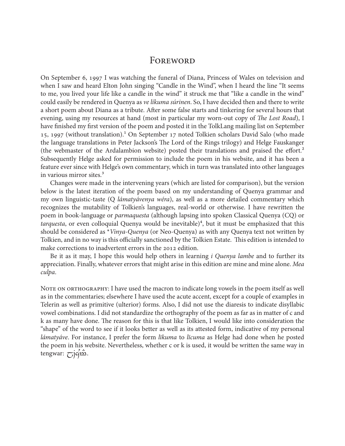# **FOREWORD**

On September 6, 1997 I was watching the funeral of Diana, Princess of Wales on television and when I saw and heard Elton John singing "Candle in the Wind", when I heard the line "It seems to me, you lived your life like a candle in the wind" it struck me that "like a candle in the wind" could easily be rendered in Quenya as *ve líkuma súrinen*. So, I have decided then and there to write a short poem about Diana as a tribute. After some false starts and tinkering for several hours that evening, using my resources at hand (most in particular my worn-out copy of *The Lost Road*), I have finished my first version of the poem and posted it in the TolkLang mailing list on September 15, 1997 (without translation).<sup>1</sup> On September 17 noted Tolkien scholars David Salo (who made the language translations in Peter Jackson's The Lord of the Rings trilogy) and Helge Fauskanger (the webmaster of the Ardalambion website) posted their translations and praised the effort.² Subsequently Helge asked for permission to include the poem in his website, and it has been a feature ever since with Helge's own commentary, which in turn was translated into other languages in various mirror sites.<sup>3</sup>

Changes were made in the intervening years (which are listed for comparison), but the version below is the latest iteration of the poem based on my understanding of Quenya grammar and my own linguistic-taste (Q *lámatyávenya wéra*), as well as a more detailed commentary which recognizes the mutability of Tolkien's languages, real-world or otherwise. I have rewritten the poem in book-language or *parmaquesta* (although lapsing into spoken Classical Quenya (CQ) or *tarquesta*, or even colloquial Quenya would be inevitable)<sup>4</sup>, but it must be emphasized that this should be considered as \**Vinya-Quenya* (or Neo-Quenya) as with any Quenya text not written by Tolkien, and in no way is this officially sanctioned by the Tolkien Estate. This edition is intended to make corrections to inadvertent errors in the 2012 edition.

Be it as it may, I hope this would help others in learning *i Quenya lambe* and to further its appreciation. Finally, whatever errors that might arise in this edition are mine and mine alone. *Mea culpa*.

NOTE ON ORTHOGRAPHY: I have used the macron to indicate long vowels in the poem itself as well as in the commentaries; elsewhere I have used the acute accent, except for a couple of examples in Telerin as well as primitive (ulterior) forms. Also, I did not use the diaresis to indicate disyllabic vowel combinations. I did not standardize the orthography of the poem as far as in matter of c and k as many have done. The reason for this is that like Tolkien, I would like into consideration the "shape" of the word to see if it looks better as well as its attested form, indicative of my personal *lámatyáve*. For instance, I prefer the form *līkuma* to *līcuma* as Helge had done when he posted the poem in his website. Nevertheless, whether c or k is used, it would be written the same way in tengwar:  $\overline{C}$ j $\acute{q}$ m $\ddot{B}$ .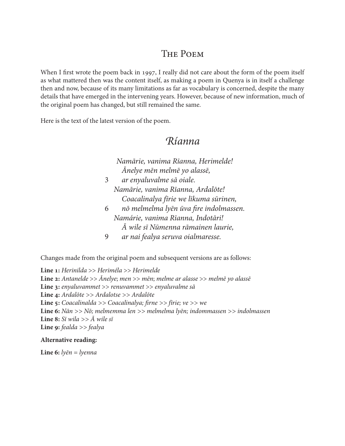# The Poem

When I first wrote the poem back in 1997, I really did not care about the form of the poem itself as what mattered then was the content itself, as making a poem in Quenya is in itself a challenge then and now, because of its many limitations as far as vocabulary is concerned, despite the many details that have emerged in the intervening years. However, because of new information, much of the original poem has changed, but still remained the same.

Here is the text of the latest version of the poem.

# *Ríanna*

 *Namārie, vanima Rīanna, Herimelde! Ānelye mēn melmē yo alassē,* 3 *ar enyaluvalme sā oiale. Namārie, vanima Rīanna, Ardalōte! Coacalinalya fīrie we līkuma sūrinen,* 6 *nō melmelma lyēn ūva fire indolmassen. Namárie, vanima Rīanna, Indotāri! Ā wile sī Nūmenna rāmainen laurie,* 9 *ar nai fealya seruva oialmaresse.*

Changes made from the original poem and subsequent versions are as follows:

**Line 1:** *Herinilda* >> *Heriméla* >> *Herimelde* **Line 2:** *Antanelde* >> *Ānelye*; *men* >> *mēn*; *melme ar alasse* >> *melmē yo alassē* **Line 3:** *enyaluvammet* >> *renuvammet* >> *enyaluvalme sā* **Line 4:** *Ardalōte >> Ardalotse >> Ardalōte* **Line 5:** *Coacalinalda >> Coacalinalya; firne >> fīrie; ve >> we*  **Line 6:** *Nān >> Nō; melmemma len >> melmelma lyēn; indommassen >> indolmassen* **Line 8:** *Sī wila >> Ā wile sī*  **Line 9:** *fealda >> fealya*

#### **Alternative reading:**

**Line 6:** *lyēn = lyenna*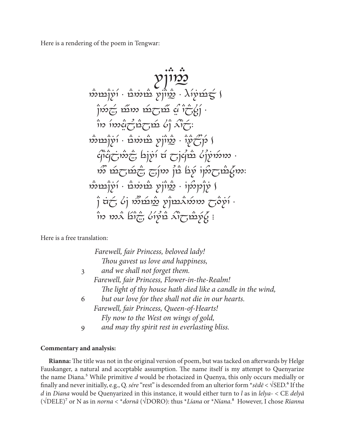Here is a rendering of the poem in Tengwar:



Here is a free translation:

|   | Farewell, fair Princess, beloved lady!                      |
|---|-------------------------------------------------------------|
|   | Thou gavest us love and happiness,                          |
| 3 | and we shall not forget them.                               |
|   | Farewell, fair Princess, Flower-in-the-Realm!               |
|   | The light of thy house hath died like a candle in the wind, |
| 6 | but our love for thee shall not die in our hearts.          |
|   | Farewell, fair Princess, Queen-of-Hearts!                   |
|   | Fly now to the West on wings of gold,                       |
| 9 | and may thy spirit rest in everlasting bliss.               |

#### **Commentary and analysis:**

**Rīanna:** The title was not in the original version of poem, but was tacked on afterwards by Helge Fauskanger, a natural and acceptable assumption. The name itself is my attempt to Quenyarize the name Diana.⁵ While primitive *d* would be rhotacized in Quenya, this only occurs medially or finally and never initially, e.g., Q. *sére* "rest" is descended from an ulterior form \**sēdē* < √SED.⁶ If the *d* in *Diana* would be Quenyarized in this instance, it would either turn to *l* as in *lelya*- < CE *delyā* (√DELE)⁷ or N as in *norna* < \**dornā* (√DORO): thus \**Líana* or \**Níana*.⁸ However, I chose *Rīanna*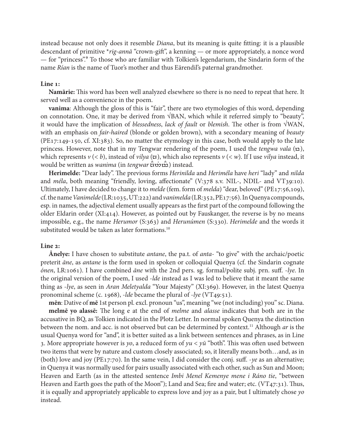instead because not only does it resemble *Diana*, but its meaning is quite fitting: it is a plausible descendant of primitive \**rig-annā* "crown-gift", a kenning — or more appropriately, a nonce word — for "princess". To those who are familiar with Tolkien's legendarium, the Sindarin form of the name *Rían* is the name of Tuor's mother and thus Eärendil's paternal grandmother.

#### **Line 1:**

**Namārie:** This word has been well analyzed elsewhere so there is no need to repeat that here. It served well as a convenience in the poem.

**vanima**: Although the gloss of this is "fair", there are two etymologies of this word, depending on connotation. One, it may be derived from √BAN, which while it referred simply to "beauty", it would have the implication of *blessedness*, *lack of fault* or *blemish*. The other is from √WAN, with an emphasis on *fair-haired* (blonde or golden brown), with a secondary meaning of *beauty* (PE17:149-150, cf. XI:383). So, no matter the etymology in this case, both would apply to the late princess. However, note that in my Tengwar rendering of the poem, I used the *tengwa vala* ( $\alpha$ ), which represents  $v \leq b$ , instead of *vilya*  $(\pi)$ , which also represents  $v \leq w$ ). If I use *vilya* instead, it would be written as *wanima* (in *tengwar*  $\ddot{\vec{u}}$  *instead.*) instead.

**Herimelde:** "Dear lady". The previous forms *Herinilda* and *Heriméla* have *heri* "lady" and *nilda* and *méla*, both meaning "friendly, loving, affectionate" (V:378 s.v. NIL-, NDIL- and VT39:10). Ultimately, I have decided to change it to *melde* (fem. form of *melda*) "dear, beloved" (PE17:56,109), cf. the name *Vanimelde* (LR:1035, UT:222) and *vanimelda* (LR:352, PE17:56). In Quenya compounds, esp. in names, the adjectival element usually appears as the first part of the compound following the older Eldarin order (XI:414). However, as pointed out by Fauskanger, the reverse is by no means impossible, e.g., the name *Herumor* (S:363) and *Herunúmen* (S:330). *Herimelde* and the words it substituted would be taken as later formations.<sup>10</sup>

#### **Line 2:**

instead.

**Ānelye:** I have chosen to substitute *antane*, the pa.t. of *anta*- "to give" with the archaic/poetic preterit *āne*, as *antane* is the form used in spoken or colloquial Quenya (cf. the Sindarin cognate *ónen*, LR:1061). I have combined *āne* with the 2nd pers. sg. formal/polite subj. prn. suff. -*lye*. In the original version of the poem, I used -*lde* instead as I was led to believe that it meant the same thing as -*lye*, as seen in *Aran Meletyalda* "Your Majesty" (XI:369). However, in the latest Quenya pronominal scheme (c. 1968), *-lde* became the plural of *-lye* (VT<sub>49:51</sub>).

**mēn**: Dative of **mē** 1st person pl. excl. pronoun "us", meaning "we (not including) you" sc. Diana. **melmē yo alassē:** The long e at the end of *melme* and *alasse* indicates that both are in the accusative in BQ, as Tolkien indicated in the Plotz Letter. In normal spoken Quenya the distinction between the nom. and acc. is not observed but can be determined by context.11 Although *ar* is the usual Quenya word for "and", it is better suited as a link between sentences and phrases, as in Line 3. More appropriate however is *yo*, a reduced form of *yu* < *yū* "both". This was often used between two items that were by nature and custom closely associated; so, it literally means both…and, as in (both) love and joy (PE17:70). In the same vein, I did consider the conj. suff. -*ye* as an alternative; in Quenya it was normally used for pairs usually associated with each other, such as Sun and Moon; Heaven and Earth (as in the attested sentence *Imbi Menel Kemenye mene i Ráno tie*, "between Heaven and Earth goes the path of the Moon"); Land and Sea; fire and water; etc. (VT47:31). Thus, it is equally and appropriately applicable to express love and joy as a pair, but I ultimately chose *yo*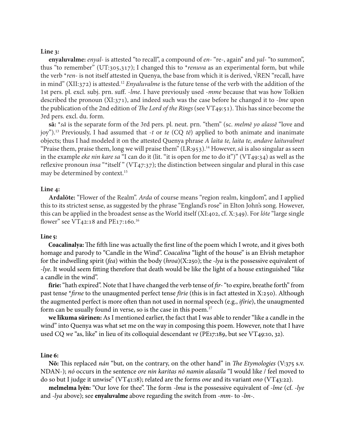#### **Line 3:**

**enyaluvalme:** *enyal*- is attested "to recall", a compound of *en*- "re-, again" and *yal*- "to summon", thus "to remember" (UT:305,317); I changed this to \**renuva* as an experimental form, but while the verb \**ren*- is not itself attested in Quenya, the base from which it is derived, √REN "recall, have in mind" (XII:372) is attested.12 *Enyaluvalme* is the future tense of the verb with the addition of the 1st pers. pl. excl. subj. prn. suff. -*lme*. I have previously used -*mme* because that was how Tolkien described the pronoun (XI:371), and indeed such was the case before he changed it to -*lme* upon the publication of the 2nd edition of *The Lord of the Rings* (see VT49:51). This has since become the 3rd pers. excl. du. form.

**sā:** \**sā* is the separate form of the 3rd pers. pl. neut. prn. "them" (sc. *melmē yo alassē* "love and joy").13 Previously, I had assumed that -*t* or *te* (CQ *tē*) applied to both animate and inanimate objects; thus I had modeled it on the attested Quenya phrase *A laita te, laita te, andave laituvalmet* "Praise them, praise them, long we will praise them"  $(LR:953).$ <sup>14</sup> However, *sā* is also singular as seen in the example *eke nin kare sa* "I can do it (lit. "it is open for me to do it")" (VT49:34) as well as the reflexive pronoun *insa* "\*itself " (VT47:37); the distinction between singular and plural in this case may be determined by context.15

#### **Line 4:**

**Ardalōte:** "Flower of the Realm". *Arda* of course means "region realm, kingdom", and I applied this to its strictest sense, as suggested by the phrase "England's rose" in Elton John's song. However, this can be applied in the broadest sense as the World itself (XI:402, cf. X:349). For *lóte* "large single flower" see VT42:18 and PE17:160. 16

#### **Line 5:**

**Coacalinalya:** The fifth line was actually the first line of the poem which I wrote, and it gives both homage and parody to "Candle in the Wind". *Coacalina* "light of the house" is an Elvish metaphor for the indwelling spirit (*fea*) within the body (*hroa*)(X:250); the *-lya* is the possessive equivalent of *-lye*. It would seem fitting therefore that death would be like the light of a house extinguished "like a candle in the wind".

**fīrie:** "hath expired". Note that I have changed the verb tense of *fir-* "to expire, breathe forth" from past tense \**firne* to the unaugmented perfect tense *fīrie* (this is in fact attested in X:250). Although the augmented perfect is more often than not used in normal speech (e.g., *ifírie*), the unaugmented form can be usually found in verse, so is the case in this poem.17

**we līkuma sūrinen:** As I mentioned earlier, the fact that I was able to render "like a candle in the wind" into Quenya was what set me on the way in composing this poem. However, note that I have used CQ *we* "as, like" in lieu of its colloquial descendant *ve* (PE17:189, but see VT49:10, 32).

#### **Line 6:**

**Nō:** This replaced *nán* "but, on the contrary, on the other hand" in *The Etymologies* (V:375 s.v. NDAN-); *nó* occurs in the sentence *ore nin karitas nó namin alasaila* "I would like / feel moved to do so but I judge it unwise" (VT41:18); related are the forms *one* and its variant *ono* (VT43:22).

**melmelma lyēn:** "Our love for thee". The form *-lma* is the possessive equivalent of *-lme* (cf. *-lye*  and *-lya* above); see **enyaluvalme** above regarding the switch from *-mm-* to *-lm-*.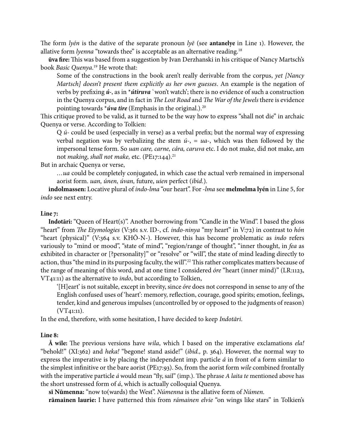The form *lyén* is the dative of the separate pronoun *lyē* (see **antanelye** in Line 1). However, the allative form *lyenna* "towards thee" is acceptable as an alternative reading.<sup>18</sup>

**ūva fire:** This was based from a suggestion by Ivan Derzhanski in his critique of Nancy Martsch's book *Basic Quenya*. 19 He wrote that:

Some of the constructions in the book aren't really derivable from the corpus, *yet [Nancy Martsch] doesn't present them explicitly as her own guesses*. An example is the negation of verbs by prefixing *ú-*, as in \**útiruva* `won't watch'; there is no evidence of such a construction in the Quenya corpus, and in fact in *The Lost Road* and *The War of the Jewels* there is evidence pointing towards \**úva tire* (Emphasis in the original.).20

This critique proved to be valid, as it turned to be the way how to express "shall not die" in archaic Quenya or verse. According to Tolkien:

Q *ú-* could be used (especially in verse) as a verbal prefix; but the normal way of expressing verbal negation was by verbalizing the stem  $\acute{u}$ -, =  $ua$ -, which was then followed by the impersonal tense form. So *uan care, carne, cára, caruva* etc. I do not make, did not make, am not *making*, *shall not make*, etc. (PE17:144).<sup>21</sup>

But in archaic Quenya or verse,

*…ua* could be completely conjugated, in which case the actual verb remained in impersonal aorist form. *uan, únen, úvan,* future, *uien* perfect (*ibid.*).

**indolmassen:** Locative plural of *indo-lma* "our heart". For *-lma* see **melmelma lyén** in Line 5, for *indo* see next entry.

#### **Line 7:**

**Indotāri:** "Queen of Heart(s)". Another borrowing from "Candle in the Wind". I based the gloss "heart" from *The Etymologies* (V:361 s.v. ID-, cf. *indo-ninya* "my heart" in V:72) in contrast to *hón*  "heart (physical)" (V:364 s.v. KHŌ-N-). However, this has become problematic as *indo* refers variously to "mind or mood", "state of mind", "region/range of thought", "inner thought, in *fea* as exhibited in character or [?personality]" or "resolve" or "will", the state of mind leading directly to action, thus "the mind in its purposing faculty, the will".<sup>22</sup> This rather complicates matters because of the range of meaning of this word, and at one time I considered *óre* "heart (inner mind)" (LR:1123, VT41:11) as the alternative to *indo*, but according to Tolkien,

'[H]eart' is not suitable, except in brevity, since *óre* does not correspond in sense to any of the English confused uses of 'heart': memory, reflection, courage, good spirits; emotion, feelings, tender, kind and generous impulses (uncontrolled by or opposed to the judgments of reason)  $(VT_{41:11}).$ 

In the end, therefore, with some hesitation, I have decided to keep *Indotāri*.

#### **Line 8:**

**Ā wile:** The previous versions have *wila*, which I based on the imperative exclamations *ela!*  "behold!" (XI:362) and *heka!* "begone! stand aside!" (*ibid.,* p. 364). However, the normal way to express the imperative is by placing the independent imp. particle *á* in front of a form similar to the simplest infinitive or the bare aorist (PE17:93). So, from the aorist form *wile* combined frontally with the imperative particle *á* would mean "fly, sail" (imp.). The phrase *A laita te* mentioned above has the short unstressed form of *á*, which is actually colloquial Quenya.

**sī Nūmenna:** "now to(wards) the West". *Númenna* is the allative form of *Númen*.

**rāmainen laurie:** I have patterned this from *rámainen elvie* "on wings like stars" in Tolkien's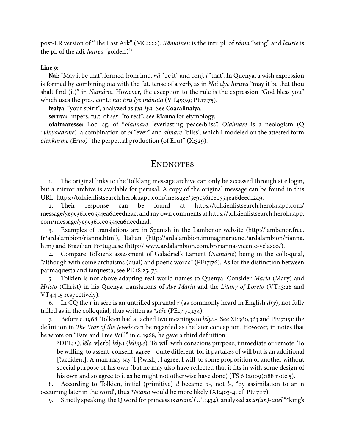post-LR version of "The Last Ark" (MC:222). *Rāmainen* is the intr. pl. of *ráma* "wing" and *laurie* is the pl. of the adj. *laurea* "golden".23

#### **Line 9:**

**Nai:** "May it be that", formed from imp. *nā* "be it" and conj. *i* "that". In Quenya, a wish expression is formed by combining *nai* with the fut. tense of a verb, as in *Nai elye hiruva* "may it be that thou shalt find (it)" in *Namárie*. However, the exception to the rule is the expression "God bless you" which uses the pres. cont.: *nai Eru lye mánata* (VT49:39; PE17:75).

**fealya:** "your spirit", analyzed as *fea-lya*. See **Coacalinalya**.

**seruva:** Impers. fu.t. of *ser-* "to rest"; see **Rīanna** for etymology.

**oialmaresse:** Loc. sg. of \**oialmare* "everlasting peace/bliss". *Oialmare* is a neologism (Q \**vinyakarme*), a combination of *oi* "ever" and *almare* "bliss", which I modeled on the attested form *oienkarme (Eruo)* "the perpetual production (of Eru)" (X:329).

# ENDNOTES

1. The original links to the Tolklang message archive can only be accessed through site login, but a mirror archive is available for perusal. A copy of the original message can be found in this URL: https://tolkienlistsearch.herokuapp.com/message/5e9c361ce0554ea6deed12a9.

2. Their response can be found at https://tolkienlistsearch.herokuapp.com/ message/5e9c361ce0554ea6deed12ac, and my own comments at https://tolkienlistsearch.herokuapp. com/message/5e9c361ce0554ea6deed12af.

3. Examples of translations are in Spanish in the Lambenor website (http://lambenor.free. fr/ardalambion/rianna.html), Italian (http://ardalambion.immaginario.net/ardalambion/rianna. htm) and Brazilian Portuguese (http:// www.ardalambion.com.br/rianna-vicente-velasco/).

4. Compare Tolkien's assessment of Galadriel's Lament (*Namárie*) being in the colloquial, "although with some archaisms (dual) and poetic words" (PE17:76). As for the distinction between parmaquesta and tarquesta, see PE 18:25, 75.

5. Tolkien is not above adapting real-world names to Quenya. Consider *María* (Mary) and *Hristo* (Christ) in his Quenya translations of *Ave Maria* and the *Litany of Loreto* (VT43:28 and VT44:15 respectively).

6. In CQ the r in sére is an untrilled spirantal *r* (as commonly heard in English *dry*), not fully trilled as in the colloquial, thus written as \**séře* (PE17:71,134).

7. Before c. 1968, Tolkien had attached two meanings to *lelya*-. See XI:360,363 and PE17:151: the definition in *The War of the Jewels* can be regarded as the later conception. However, in notes that he wrote on "Fate and Free Will" in c. 1968, he gave a third definition:

?DEL: Q. *lēle*, v[erb] *lelya* (*lelinye*). To will with conscious purpose, immediate or remote. To be willing, to assent, consent, agree—quite different, for it partakes of will but is an additional [?accident]. A man may say 'I [?wish], I agree, I will' to some proposition of another without special purpose of his own (but he may also have reflected that it fits in with some design of his own and so agree to it as he might not otherwise have done) (TS 6 (2009):188 note 5).

8. According to Tolkien, initial (primitive) *d* became *n*-, not *l*-, "by assimilation to an n occurring later in the word", thus \**Níana* would be more likely (XI:403-4, cf. PE17:17).

9. Strictly speaking, the Q word for princess is *aranel* (UT:434), analyzed as *ar(an)-anel* "\*king's